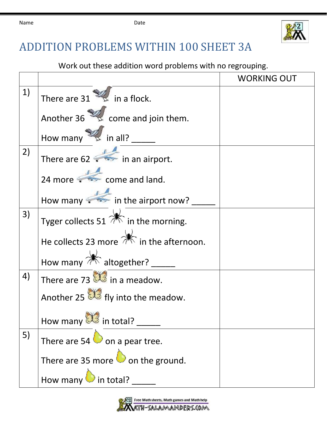

## ADDITION PROBLEMS WITHIN 100 SHEET 3A

Work out these addition word problems with no regrouping.

|    |                                                            | <b>WORKING OUT</b> |
|----|------------------------------------------------------------|--------------------|
| 1) | There are $31 \times \dots$ in a flock.                    |                    |
|    | Another $36 \times 36$ come and join them.                 |                    |
|    | How many $\mathbb{Z}$ in all?                              |                    |
| 2) | There are $62 \rightarrow$ in an airport.                  |                    |
|    | 24 more $\sqrt{25}$ come and land.                         |                    |
|    | How many in the airport now?                               |                    |
| 3) | Tyger collects 51 $\mathbb{R}$ in the morning.             |                    |
|    | He collects 23 more $\overrightarrow{m}$ in the afternoon. |                    |
|    | How many $\mathbb{*}$ altogether? __                       |                    |
| 4) | There are 73 $\mathbb{S}$ in a meadow.                     |                    |
|    | Another 25 $\mathbb{S}$ fly into the meadow.               |                    |
|    | How many $\mathbb{S}$ in total?                            |                    |
| 5) | There are 54 $\bullet$ on a pear tree.                     |                    |
|    | There are 35 more $\bigcirc$ on the ground.                |                    |
|    |                                                            |                    |